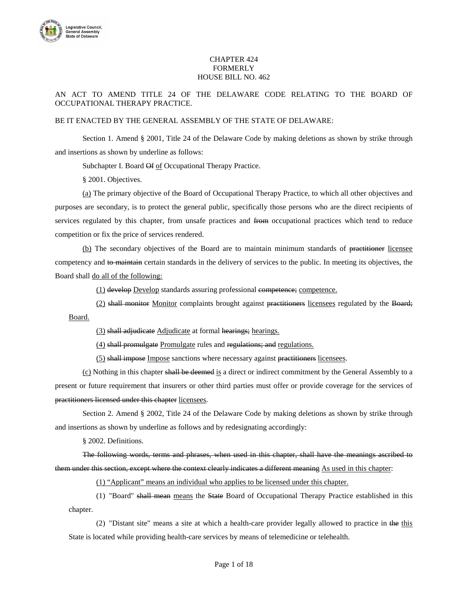

## CHAPTER 424 **FORMERLY** HOUSE BILL NO. 462

## AN ACT TO AMEND TITLE 24 OF THE DELAWARE CODE RELATING TO THE BOARD OF OCCUPATIONAL THERAPY PRACTICE.

## BE IT ENACTED BY THE GENERAL ASSEMBLY OF THE STATE OF DELAWARE:

Section 1. Amend § 2001, Title 24 of the Delaware Code by making deletions as shown by strike through and insertions as shown by underline as follows:

Subchapter I. Board Of of Occupational Therapy Practice.

§ 2001. Objectives.

(a) The primary objective of the Board of Occupational Therapy Practice, to which all other objectives and purposes are secondary, is to protect the general public, specifically those persons who are the direct recipients of services regulated by this chapter, from unsafe practices and from occupational practices which tend to reduce competition or fix the price of services rendered.

(b) The secondary objectives of the Board are to maintain minimum standards of practitioner licensee competency and to maintain certain standards in the delivery of services to the public. In meeting its objectives, the Board shall do all of the following:

(1) develop Develop standards assuring professional competence; competence.

(2) shall monitor Monitor complaints brought against practitioners licensees regulated by the Board; Board.

(3) shall adjudicate Adjudicate at formal hearings; hearings.

(4) shall promulgate Promulgate rules and regulations; and regulations.

(5) shall impose Impose sanctions where necessary against practitioners licensees.

 $(c)$  Nothing in this chapter shall be deemed is a direct or indirect commitment by the General Assembly to a present or future requirement that insurers or other third parties must offer or provide coverage for the services of practitioners licensed under this chapter licensees.

Section 2. Amend § 2002, Title 24 of the Delaware Code by making deletions as shown by strike through and insertions as shown by underline as follows and by redesignating accordingly:

§ 2002. Definitions.

The following words, terms and phrases, when used in this chapter, shall have the meanings ascribed to them under this section, except where the context clearly indicates a different meaning As used in this chapter:

(1) "Applicant" means an individual who applies to be licensed under this chapter.

(1) "Board" shall mean means the State Board of Occupational Therapy Practice established in this chapter.

(2) "Distant site" means a site at which a health-care provider legally allowed to practice in the this State is located while providing health-care services by means of telemedicine or telehealth.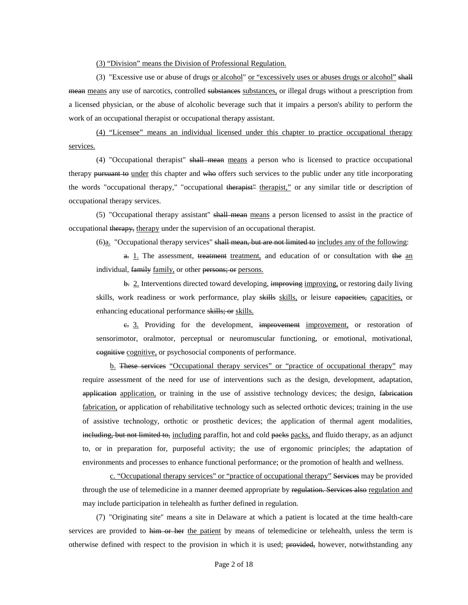(3) "Division" means the Division of Professional Regulation.

(3) "Excessive use or abuse of drugs or alcohol" or "excessively uses or abuses drugs or alcohol" shall mean means any use of narcotics, controlled substances substances, or illegal drugs without a prescription from a licensed physician, or the abuse of alcoholic beverage such that it impairs a person's ability to perform the work of an occupational therapist or occupational therapy assistant.

(4) "Licensee" means an individual licensed under this chapter to practice occupational therapy services.

(4) "Occupational therapist" shall mean means a person who is licensed to practice occupational therapy pursuant to under this chapter and who offers such services to the public under any title incorporating the words "occupational therapy," "occupational therapist" therapist," or any similar title or description of occupational therapy services.

(5) "Occupational therapy assistant" shall mean means a person licensed to assist in the practice of occupational therapy, therapy under the supervision of an occupational therapist.

(6)a. "Occupational therapy services" shall mean, but are not limited to includes any of the following:

 $a$ . 1. The assessment, treatment treatment, and education of or consultation with the an individual, family family, or other persons; or persons.

b. 2. Interventions directed toward developing, improving improving, or restoring daily living skills, work readiness or work performance, play skills skills, or leisure eapacities, capacities, or enhancing educational performance skills; or skills.

 $e$ . 3. Providing for the development, improvement improvement, or restoration of sensorimotor, oralmotor, perceptual or neuromuscular functioning, or emotional, motivational, cognitive cognitive, or psychosocial components of performance.

b. These services "Occupational therapy services" or "practice of occupational therapy" may require assessment of the need for use of interventions such as the design, development, adaptation, application application, or training in the use of assistive technology devices; the design, fabrication fabrication, or application of rehabilitative technology such as selected orthotic devices; training in the use of assistive technology, orthotic or prosthetic devices; the application of thermal agent modalities, including, but not limited to, including paraffin, hot and cold packs packs, and fluido therapy, as an adjunct to, or in preparation for, purposeful activity; the use of ergonomic principles; the adaptation of environments and processes to enhance functional performance; or the promotion of health and wellness.

c. "Occupational therapy services" or "practice of occupational therapy" Services may be provided through the use of telemedicine in a manner deemed appropriate by regulation. Services also regulation and may include participation in telehealth as further defined in regulation.

(7) "Originating site" means a site in Delaware at which a patient is located at the time health-care services are provided to him or her the patient by means of telemedicine or telehealth, unless the term is otherwise defined with respect to the provision in which it is used; provided, however, notwithstanding any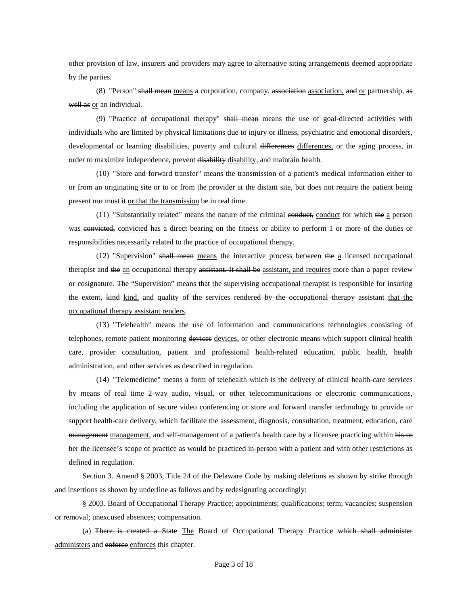other provision of law, insurers and providers may agree to alternative siting arrangements deemed appropriate by the parties.

(8) "Person" shall mean means a corporation, company, association association, and or partnership, as well as or an individual.

(9) "Practice of occupational therapy" shall mean means the use of goal-directed activities with individuals who are limited by physical limitations due to injury or illness, psychiatric and emotional disorders, developmental or learning disabilities, poverty and cultural differences differences, or the aging process, in order to maximize independence, prevent disability disability, and maintain health.

(10) "Store and forward transfer" means the transmission of a patient's medical information either to or from an originating site or to or from the provider at the distant site, but does not require the patient being present nor must it or that the transmission be in real time.

 $(11)$  "Substantially related" means the nature of the criminal conduct, conduct for which the a person was convicted, convicted has a direct bearing on the fitness or ability to perform 1 or more of the duties or responsibilities necessarily related to the practice of occupational therapy.

(12) "Supervision" shall mean means the interactive process between the a licensed occupational therapist and the an occupational therapy assistant. It shall be assistant, and requires more than a paper review or cosignature. The "Supervision" means that the supervising occupational therapist is responsible for insuring the extent, kind kind, and quality of the services rendered by the occupational therapy assistant that the occupational therapy assistant renders.

(13) "Telehealth" means the use of information and communications technologies consisting of telephones, remote patient monitoring devices devices, or other electronic means which support clinical health care, provider consultation, patient and professional health-related education, public health, health administration, and other services as described in regulation.

(14) "Telemedicine" means a form of telehealth which is the delivery of clinical health-care services by means of real time 2-way audio, visual, or other telecommunications or electronic communications, including the application of secure video conferencing or store and forward transfer technology to provide or support health-care delivery, which facilitate the assessment, diagnosis, consultation, treatment, education, care management management, and self-management of a patient's health care by a licensee practicing within his or her the licensee's scope of practice as would be practiced in-person with a patient and with other restrictions as defined in regulation.

Section 3. Amend § 2003, Title 24 of the Delaware Code by making deletions as shown by strike through and insertions as shown by underline as follows and by redesignating accordingly:

§ 2003. Board of Occupational Therapy Practice; appointments; qualifications; term; vacancies; suspension or removal; unexcused absences; compensation.

(a) There is created a State The Board of Occupational Therapy Practice which shall administer administers and enforce enforces this chapter.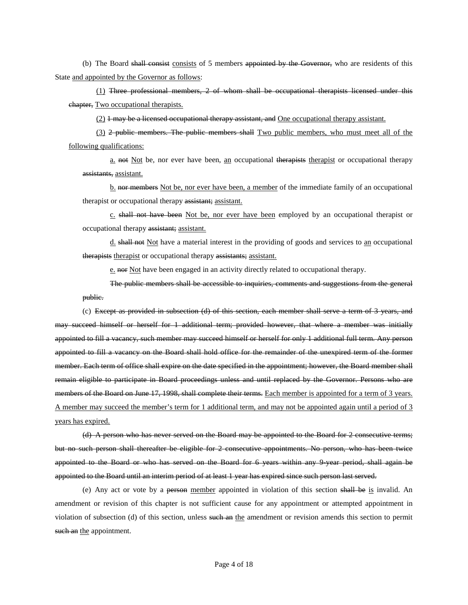(b) The Board shall consist consists of 5 members appointed by the Governor, who are residents of this State and appointed by the Governor as follows:

(1) Three professional members, 2 of whom shall be occupational therapists licensed under this chapter, Two occupational therapists.

(2) 1 may be a licensed occupational therapy assistant, and One occupational therapy assistant.

 $(3)$  2 public members. The public members shall Two public members, who must meet all of the following qualifications:

a. not Not be, nor ever have been, an occupational therapists therapist or occupational therapy assistants, assistant.

b. nor members Not be, nor ever have been, a member of the immediate family of an occupational therapist or occupational therapy assistant; assistant.

c. shall not have been Not be, nor ever have been employed by an occupational therapist or occupational therapy assistant; assistant.

d. shall not Not have a material interest in the providing of goods and services to an occupational therapists therapist or occupational therapy assistants; assistant.

e. nor Not have been engaged in an activity directly related to occupational therapy.

The public members shall be accessible to inquiries, comments and suggestions from the general public.

(c) Except as provided in subsection (d) of this section, each member shall serve a term of 3 years, and may succeed himself or herself for 1 additional term; provided however, that where a member was initially appointed to fill a vacancy, such member may succeed himself or herself for only 1 additional full term. Any person appointed to fill a vacancy on the Board shall hold office for the remainder of the unexpired term of the former member. Each term of office shall expire on the date specified in the appointment; however, the Board member shall remain eligible to participate in Board proceedings unless and until replaced by the Governor. Persons who are members of the Board on June 17, 1998, shall complete their terms. Each member is appointed for a term of 3 years. A member may succeed the member's term for 1 additional term, and may not be appointed again until a period of 3 years has expired.

(d) A person who has never served on the Board may be appointed to the Board for 2 consecutive terms; but no such person shall thereafter be eligible for 2 consecutive appointments. No person, who has been twice appointed to the Board or who has served on the Board for 6 years within any 9-year period, shall again be appointed to the Board until an interim period of at least 1 year has expired since such person last served.

(e) Any act or vote by a person member appointed in violation of this section shall be is invalid. An amendment or revision of this chapter is not sufficient cause for any appointment or attempted appointment in violation of subsection (d) of this section, unless such an the amendment or revision amends this section to permit such an the appointment.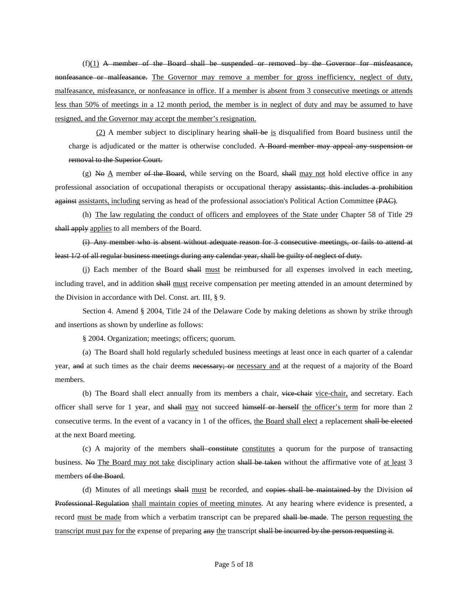$(f)(1)$  A member of the Board shall be suspended or removed by the Governor for misfeasance, nonfeasance or malfeasance. The Governor may remove a member for gross inefficiency, neglect of duty, malfeasance, misfeasance, or nonfeasance in office. If a member is absent from 3 consecutive meetings or attends less than 50% of meetings in a 12 month period, the member is in neglect of duty and may be assumed to have resigned, and the Governor may accept the member's resignation.

(2) A member subject to disciplinary hearing shall be is disqualified from Board business until the charge is adjudicated or the matter is otherwise concluded. A Board member may appeal any suspension or removal to the Superior Court.

 $(g)$  No A member of the Board, while serving on the Board, shall may not hold elective office in any professional association of occupational therapists or occupational therapy assistants; this includes a prohibition against assistants, including serving as head of the professional association's Political Action Committee (PAC).

(h) The law regulating the conduct of officers and employees of the State under Chapter 58 of Title 29 shall apply applies to all members of the Board.

(i) Any member who is absent without adequate reason for 3 consecutive meetings, or fails to attend at least 1/2 of all regular business meetings during any calendar year, shall be guilty of neglect of duty.

(j) Each member of the Board shall must be reimbursed for all expenses involved in each meeting, including travel, and in addition shall must receive compensation per meeting attended in an amount determined by the Division in accordance with Del. Const. art. III, § 9.

Section 4. Amend § 2004, Title 24 of the Delaware Code by making deletions as shown by strike through and insertions as shown by underline as follows:

§ 2004. Organization; meetings; officers; quorum.

(a) The Board shall hold regularly scheduled business meetings at least once in each quarter of a calendar year, and at such times as the chair deems necessary; or necessary and at the request of a majority of the Board members.

(b) The Board shall elect annually from its members a chair, vice-chair vice-chair, and secretary. Each officer shall serve for 1 year, and shall may not succeed himself or herself the officer's term for more than 2 consecutive terms. In the event of a vacancy in 1 of the offices, the Board shall elect a replacement shall be elected at the next Board meeting.

(c) A majority of the members shall constitute constitutes a quorum for the purpose of transacting business. No The Board may not take disciplinary action shall be taken without the affirmative vote of at least 3 members of the Board.

(d) Minutes of all meetings shall must be recorded, and copies shall be maintained by the Division of Professional Regulation shall maintain copies of meeting minutes. At any hearing where evidence is presented, a record must be made from which a verbatim transcript can be prepared shall be made. The person requesting the transcript must pay for the expense of preparing any the transcript shall be incurred by the person requesting it.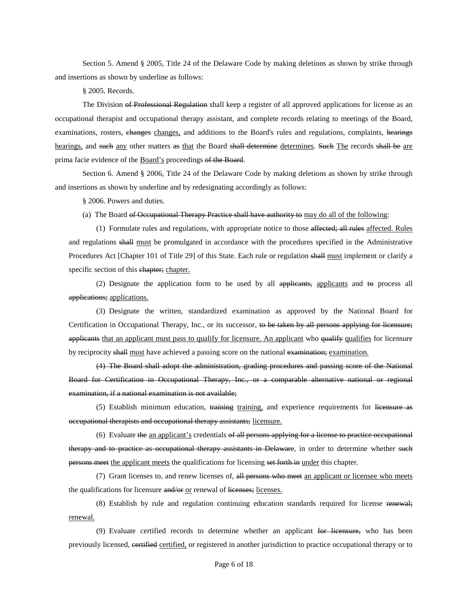Section 5. Amend § 2005, Title 24 of the Delaware Code by making deletions as shown by strike through and insertions as shown by underline as follows:

§ 2005. Records.

The Division of Professional Regulation shall keep a register of all approved applications for license as an occupational therapist and occupational therapy assistant, and complete records relating to meetings of the Board, examinations, rosters, changes changes, and additions to the Board's rules and regulations, complaints, hearings hearings, and such any other matters as that the Board shall determine determines. Such The records shall be are prima facie evidence of the Board's proceedings of the Board.

Section 6. Amend § 2006, Title 24 of the Delaware Code by making deletions as shown by strike through and insertions as shown by underline and by redesignating accordingly as follows:

§ 2006. Powers and duties.

(a) The Board of Occupational Therapy Practice shall have authority to may do all of the following:

(1) Formulate rules and regulations, with appropriate notice to those affected; all rules affected. Rules and regulations shall must be promulgated in accordance with the procedures specified in the Administrative Procedures Act [Chapter 101 of Title 29] of this State. Each rule or regulation shall must implement or clarify a specific section of this chapter; chapter.

(2) Designate the application form to be used by all applicants, applicants and to process all applications; applications.

(3) Designate the written, standardized examination as approved by the National Board for Certification in Occupational Therapy, Inc., or its successor, to be taken by all persons applying for licensure; applicants that an applicant must pass to qualify for licensure. An applicant who qualify qualifies for licensure by reciprocity shall must have achieved a passing score on the national examination; examination.

(4) The Board shall adopt the administration, grading procedures and passing score of the National Board for Certification in Occupational Therapy, Inc., or a comparable alternative national or regional examination, if a national examination is not available;

(5) Establish minimum education, training training, and experience requirements for licensure as occupational therapists and occupational therapy assistants; licensure.

(6) Evaluate the an applicant's credentials of all persons applying for a license to practice occupational therapy and to practice as occupational therapy assistants in Delaware, in order to determine whether such persons meet the applicant meets the qualifications for licensing set forth in under this chapter.

(7) Grant licenses to, and renew licenses of, all persons who meet an applicant or licensee who meets the qualifications for licensure and/or or renewal of licenses; licenses.

(8) Establish by rule and regulation continuing education standards required for license renewal; renewal.

(9) Evaluate certified records to determine whether an applicant for licensure, who has been previously licensed, certified certified, or registered in another jurisdiction to practice occupational therapy or to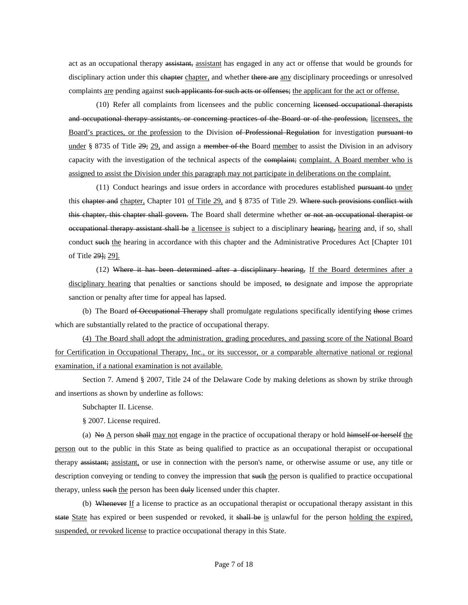act as an occupational therapy assistant, assistant has engaged in any act or offense that would be grounds for disciplinary action under this chapter chapter, and whether there are any disciplinary proceedings or unresolved complaints are pending against such applicants for such acts or offenses; the applicant for the act or offense.

(10) Refer all complaints from licensees and the public concerning licensed occupational therapists and occupational therapy assistants, or concerning practices of the Board or of the profession, licensees, the Board's practices, or the profession to the Division of Professional Regulation for investigation pursuant to under § 8735 of Title  $\frac{29}{22}$ , and assign a member of the Board member to assist the Division in an advisory capacity with the investigation of the technical aspects of the complaint; complaint. A Board member who is assigned to assist the Division under this paragraph may not participate in deliberations on the complaint.

(11) Conduct hearings and issue orders in accordance with procedures established pursuant to under this chapter and chapter, Chapter 101 of Title 29, and § 8735 of Title 29. Where such provisions conflict with this chapter, this chapter shall govern. The Board shall determine whether or not an occupational therapist or occupational therapy assistant shall be a licensee is subject to a disciplinary hearing, hearing and, if so, shall conduct such the hearing in accordance with this chapter and the Administrative Procedures Act [Chapter 101] of Title 29]; 29].

(12) Where it has been determined after a disciplinary hearing, If the Board determines after a disciplinary hearing that penalties or sanctions should be imposed, to designate and impose the appropriate sanction or penalty after time for appeal has lapsed.

(b) The Board of Occupational Therapy shall promulgate regulations specifically identifying those crimes which are substantially related to the practice of occupational therapy.

(4) The Board shall adopt the administration, grading procedures, and passing score of the National Board for Certification in Occupational Therapy, Inc., or its successor, or a comparable alternative national or regional examination, if a national examination is not available.

Section 7. Amend § 2007, Title 24 of the Delaware Code by making deletions as shown by strike through and insertions as shown by underline as follows:

Subchapter II. License.

§ 2007. License required.

(a) No  $\underline{A}$  person shall may not engage in the practice of occupational therapy or hold himself or herself the person out to the public in this State as being qualified to practice as an occupational therapist or occupational therapy assistant; assistant, or use in connection with the person's name, or otherwise assume or use, any title or description conveying or tending to convey the impression that such the person is qualified to practice occupational therapy, unless such the person has been duly licensed under this chapter.

(b) Whenever If a license to practice as an occupational therapist or occupational therapy assistant in this state State has expired or been suspended or revoked, it shall be is unlawful for the person holding the expired, suspended, or revoked license to practice occupational therapy in this State.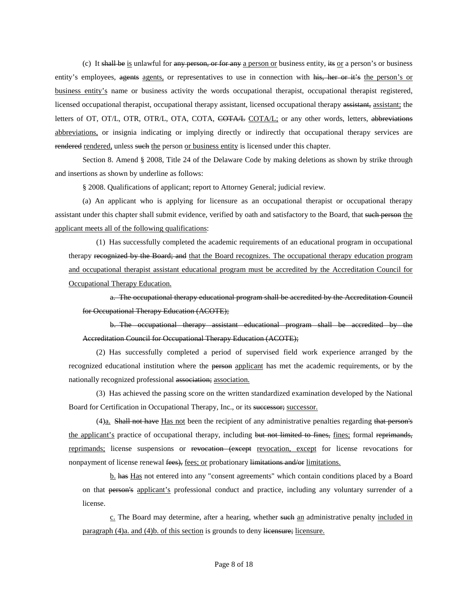(c) It shall be is unlawful for any person, or for any a person or business entity, its or a person's or business entity's employees, agents agents, or representatives to use in connection with his, her or it's the person's or business entity's name or business activity the words occupational therapist, occupational therapist registered, licensed occupational therapist, occupational therapy assistant, licensed occupational therapy assistant, assistant; the letters of OT, OT/L, OTR, OTR/L, OTA, COTA, COTA/L COTA/L; or any other words, letters, abbreviations abbreviations, or insignia indicating or implying directly or indirectly that occupational therapy services are rendered rendered, unless such the person or business entity is licensed under this chapter.

Section 8. Amend § 2008, Title 24 of the Delaware Code by making deletions as shown by strike through and insertions as shown by underline as follows:

§ 2008. Qualifications of applicant; report to Attorney General; judicial review.

(a) An applicant who is applying for licensure as an occupational therapist or occupational therapy assistant under this chapter shall submit evidence, verified by oath and satisfactory to the Board, that such person the applicant meets all of the following qualifications:

(1) Has successfully completed the academic requirements of an educational program in occupational therapy recognized by the Board; and that the Board recognizes. The occupational therapy education program and occupational therapist assistant educational program must be accredited by the Accreditation Council for Occupational Therapy Education.

a. The occupational therapy educational program shall be accredited by the Accreditation Council for Occupational Therapy Education (ACOTE);

b. The occupational therapy assistant educational program shall be accredited by the Accreditation Council for Occupational Therapy Education (ACOTE);

(2) Has successfully completed a period of supervised field work experience arranged by the recognized educational institution where the person applicant has met the academic requirements, or by the nationally recognized professional association; association.

(3) Has achieved the passing score on the written standardized examination developed by the National Board for Certification in Occupational Therapy, Inc., or its successor; successor.

(4)a. Shall not have Has not been the recipient of any administrative penalties regarding that person's the applicant's practice of occupational therapy, including but not limited to fines, fines; formal reprimands, reprimands; license suspensions or revocation (except revocation, except for license revocations for nonpayment of license renewal fees), fees; or probationary limitations and/or limitations.

b. has Has not entered into any "consent agreements" which contain conditions placed by a Board on that person's applicant's professional conduct and practice, including any voluntary surrender of a license.

c. The Board may determine, after a hearing, whether such an administrative penalty included in paragraph (4)a. and (4)b. of this section is grounds to deny licensure; licensure.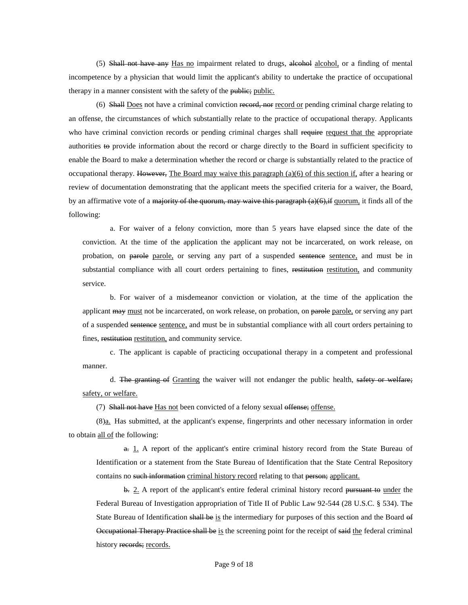(5) Shall not have any Has no impairment related to drugs, alcohol alcohol, or a finding of mental incompetence by a physician that would limit the applicant's ability to undertake the practice of occupational therapy in a manner consistent with the safety of the public; public.

(6) Shall Does not have a criminal conviction record, nor record or pending criminal charge relating to an offense, the circumstances of which substantially relate to the practice of occupational therapy. Applicants who have criminal conviction records or pending criminal charges shall require request that the appropriate authorities to provide information about the record or charge directly to the Board in sufficient specificity to enable the Board to make a determination whether the record or charge is substantially related to the practice of occupational therapy. However, The Board may waive this paragraph  $(a)(6)$  of this section if, after a hearing or review of documentation demonstrating that the applicant meets the specified criteria for a waiver, the Board, by an affirmative vote of a <del>majority of the quorum, may waive this paragraph (a)(6),if</del> quorum, it finds all of the following:

a. For waiver of a felony conviction, more than 5 years have elapsed since the date of the conviction. At the time of the application the applicant may not be incarcerated, on work release, on probation, on parole parole, or serving any part of a suspended sentence sentence, and must be in substantial compliance with all court orders pertaining to fines, restitution restitution, and community service.

b. For waiver of a misdemeanor conviction or violation, at the time of the application the applicant may must not be incarcerated, on work release, on probation, on parole parole, or serving any part of a suspended sentence sentence, and must be in substantial compliance with all court orders pertaining to fines, restitution restitution, and community service.

c. The applicant is capable of practicing occupational therapy in a competent and professional manner.

d. The granting of Granting the waiver will not endanger the public health, safety or welfare; safety, or welfare.

(7) Shall not have Has not been convicted of a felony sexual offense; offense.

(8)a. Has submitted, at the applicant's expense, fingerprints and other necessary information in order to obtain all of the following:

a. 1. A report of the applicant's entire criminal history record from the State Bureau of Identification or a statement from the State Bureau of Identification that the State Central Repository contains no such information criminal history record relating to that person; applicant.

 $\frac{1}{2}$ . A report of the applicant's entire federal criminal history record pursuant to under the Federal Bureau of Investigation appropriation of Title II of Public Law 92-544 (28 U.S.C. § 534). The State Bureau of Identification shall be is the intermediary for purposes of this section and the Board of Occupational Therapy Practice shall be is the screening point for the receipt of said the federal criminal history records; records.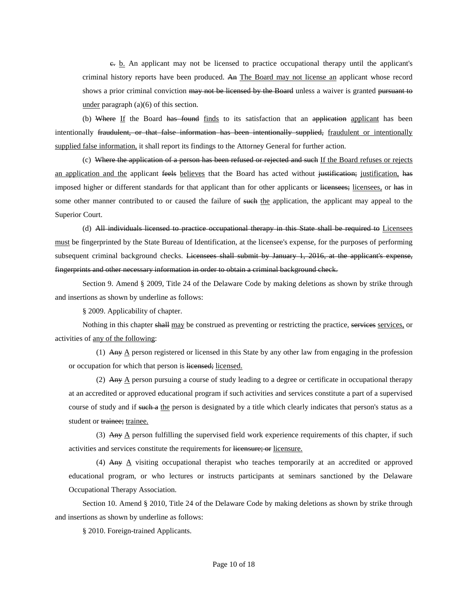c. b. An applicant may not be licensed to practice occupational therapy until the applicant's criminal history reports have been produced. An The Board may not license an applicant whose record shows a prior criminal conviction may not be licensed by the Board unless a waiver is granted pursuant to under paragraph (a)(6) of this section.

(b) Where If the Board has found finds to its satisfaction that an application applicant has been intentionally fraudulent, or that false information has been intentionally supplied, fraudulent or intentionally supplied false information, it shall report its findings to the Attorney General for further action.

(c) Where the application of a person has been refused or rejected and such If the Board refuses or rejects an application and the applicant feels believes that the Board has acted without justification; justification, has imposed higher or different standards for that applicant than for other applicants or licensees; licensees, or has in some other manner contributed to or caused the failure of such the application, the applicant may appeal to the Superior Court.

(d) All individuals licensed to practice occupational therapy in this State shall be required to Licensees must be fingerprinted by the State Bureau of Identification, at the licensee's expense, for the purposes of performing subsequent criminal background checks. Licensees shall submit by January 1, 2016, at the applicant's expense, fingerprints and other necessary information in order to obtain a criminal background check.

Section 9. Amend § 2009, Title 24 of the Delaware Code by making deletions as shown by strike through and insertions as shown by underline as follows:

§ 2009. Applicability of chapter.

Nothing in this chapter shall may be construed as preventing or restricting the practice, services services, or activities of any of the following:

(1) Any  $\triangle$  person registered or licensed in this State by any other law from engaging in the profession or occupation for which that person is licensed; licensed.

(2) Any  $\triangle$  person pursuing a course of study leading to a degree or certificate in occupational therapy at an accredited or approved educational program if such activities and services constitute a part of a supervised course of study and if such a the person is designated by a title which clearly indicates that person's status as a student or trainee; trainee.

(3) Any  $\triangle$  person fulfilling the supervised field work experience requirements of this chapter, if such activities and services constitute the requirements for licensure; or licensure.

(4) Any  $\triangle$  visiting occupational therapist who teaches temporarily at an accredited or approved educational program, or who lectures or instructs participants at seminars sanctioned by the Delaware Occupational Therapy Association.

Section 10. Amend § 2010, Title 24 of the Delaware Code by making deletions as shown by strike through and insertions as shown by underline as follows:

§ 2010. Foreign-trained Applicants.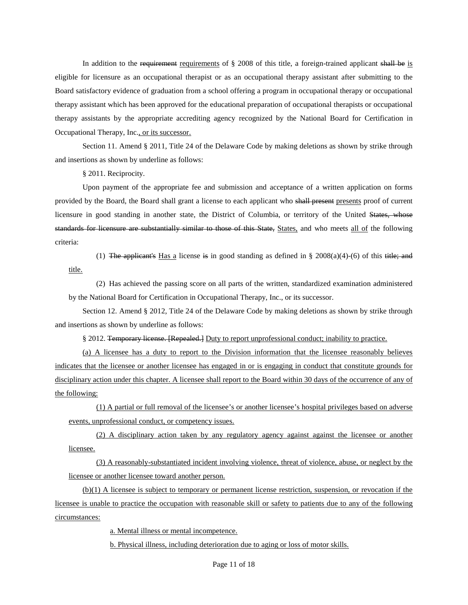In addition to the requirement requirements of  $\S$  2008 of this title, a foreign-trained applicant shall be is eligible for licensure as an occupational therapist or as an occupational therapy assistant after submitting to the Board satisfactory evidence of graduation from a school offering a program in occupational therapy or occupational therapy assistant which has been approved for the educational preparation of occupational therapists or occupational therapy assistants by the appropriate accrediting agency recognized by the National Board for Certification in Occupational Therapy, Inc., or its successor.

Section 11. Amend § 2011, Title 24 of the Delaware Code by making deletions as shown by strike through and insertions as shown by underline as follows:

§ 2011. Reciprocity.

Upon payment of the appropriate fee and submission and acceptance of a written application on forms provided by the Board, the Board shall grant a license to each applicant who shall present presents proof of current licensure in good standing in another state, the District of Columbia, or territory of the United States, whose standards for licensure are substantially similar to those of this State, States, and who meets all of the following criteria:

(1) The applicant's Has a license is in good standing as defined in § 2008(a)(4)-(6) of this title; and title.

(2) Has achieved the passing score on all parts of the written, standardized examination administered by the National Board for Certification in Occupational Therapy, Inc., or its successor.

Section 12. Amend § 2012, Title 24 of the Delaware Code by making deletions as shown by strike through and insertions as shown by underline as follows:

§ 2012. Temporary license. [Repealed.] Duty to report unprofessional conduct; inability to practice.

(a) A licensee has a duty to report to the Division information that the licensee reasonably believes indicates that the licensee or another licensee has engaged in or is engaging in conduct that constitute grounds for disciplinary action under this chapter. A licensee shall report to the Board within 30 days of the occurrence of any of the following:

(1) A partial or full removal of the licensee's or another licensee's hospital privileges based on adverse events, unprofessional conduct, or competency issues.

(2) A disciplinary action taken by any regulatory agency against against the licensee or another licensee.

(3) A reasonably-substantiated incident involving violence, threat of violence, abuse, or neglect by the licensee or another licensee toward another person.

(b)(1) A licensee is subject to temporary or permanent license restriction, suspension, or revocation if the licensee is unable to practice the occupation with reasonable skill or safety to patients due to any of the following circumstances:

a. Mental illness or mental incompetence.

b. Physical illness, including deterioration due to aging or loss of motor skills.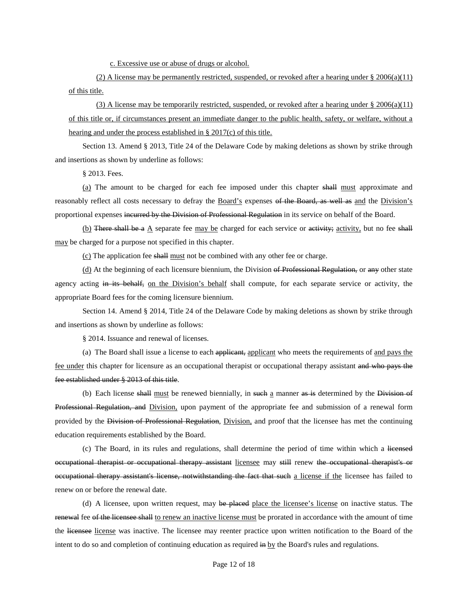c. Excessive use or abuse of drugs or alcohol.

(2) A license may be permanently restricted, suspended, or revoked after a hearing under  $\S 2006(a)(11)$ of this title.

(3) A license may be temporarily restricted, suspended, or revoked after a hearing under  $\S 2006(a)(11)$ of this title or, if circumstances present an immediate danger to the public health, safety, or welfare, without a hearing and under the process established in § 2017(c) of this title.

Section 13. Amend § 2013, Title 24 of the Delaware Code by making deletions as shown by strike through and insertions as shown by underline as follows:

§ 2013. Fees.

(a) The amount to be charged for each fee imposed under this chapter shall must approximate and reasonably reflect all costs necessary to defray the Board's expenses of the Board, as well as and the Division's proportional expenses incurred by the Division of Professional Regulation in its service on behalf of the Board.

(b) There shall be a  $\triangle$  separate fee may be charged for each service or activity; activity, but no fee shall may be charged for a purpose not specified in this chapter.

(c) The application fee shall must not be combined with any other fee or charge.

(d) At the beginning of each licensure biennium, the Division of Professional Regulation, or any other state agency acting in its behalf, on the Division's behalf shall compute, for each separate service or activity, the appropriate Board fees for the coming licensure biennium.

Section 14. Amend § 2014, Title 24 of the Delaware Code by making deletions as shown by strike through and insertions as shown by underline as follows:

§ 2014. Issuance and renewal of licenses.

(a) The Board shall issue a license to each applicant, applicant who meets the requirements of and pays the fee under this chapter for licensure as an occupational therapist or occupational therapy assistant and who pays the fee established under § 2013 of this title.

(b) Each license shall must be renewed biennially, in such a manner as is determined by the Division of Professional Regulation, and Division, upon payment of the appropriate fee and submission of a renewal form provided by the Division of Professional Regulation, Division, and proof that the licensee has met the continuing education requirements established by the Board.

(c) The Board, in its rules and regulations, shall determine the period of time within which a licensed occupational therapist or occupational therapy assistant licensee may still renew the occupational therapist's or occupational therapy assistant's license, notwithstanding the fact that such a license if the licensee has failed to renew on or before the renewal date.

(d) A licensee, upon written request, may be placed place the licensee's license on inactive status. The renewal fee of the licensee shall to renew an inactive license must be prorated in accordance with the amount of time the licensee license was inactive. The licensee may reenter practice upon written notification to the Board of the intent to do so and completion of continuing education as required  $\frac{1}{n}$  by the Board's rules and regulations.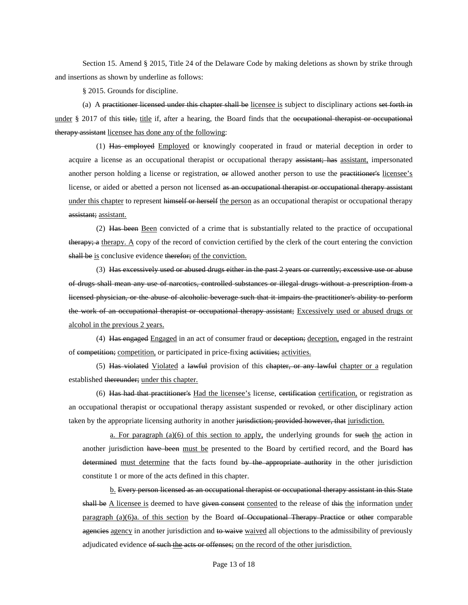Section 15. Amend § 2015, Title 24 of the Delaware Code by making deletions as shown by strike through and insertions as shown by underline as follows:

§ 2015. Grounds for discipline.

(a) A practitioner licensed under this chapter shall be licensee is subject to disciplinary actions set forth in under § 2017 of this title, title if, after a hearing, the Board finds that the <del>occupational therapist or occupational</del> therapy assistant licensee has done any of the following:

(1) Has employed Employed or knowingly cooperated in fraud or material deception in order to acquire a license as an occupational therapist or occupational therapy assistant; has assistant, impersonated another person holding a license or registration,  $\Theta$  allowed another person to use the practitioner's licensee's license, or aided or abetted a person not licensed as an occupational therapist or occupational therapy assistant under this chapter to represent himself or herself the person as an occupational therapist or occupational therapy assistant; assistant.

(2) Has been Been convicted of a crime that is substantially related to the practice of occupational therapy; a therapy. A copy of the record of conviction certified by the clerk of the court entering the conviction shall be is conclusive evidence therefor; of the conviction.

(3) Has excessively used or abused drugs either in the past 2 years or currently; excessive use or abuse of drugs shall mean any use of narcotics, controlled substances or illegal drugs without a prescription from a licensed physician, or the abuse of alcoholic beverage such that it impairs the practitioner's ability to perform the work of an occupational therapist or occupational therapy assistant; Excessively used or abused drugs or alcohol in the previous 2 years.

(4) Has engaged Engaged in an act of consumer fraud or deception; deception, engaged in the restraint of competition; competition, or participated in price-fixing activities; activities.

(5) Has violated Violated a lawful provision of this chapter, or any lawful chapter or a regulation established thereunder; under this chapter.

(6) Has had that practitioner's Had the licensee's license, certification certification, or registration as an occupational therapist or occupational therapy assistant suspended or revoked, or other disciplinary action taken by the appropriate licensing authority in another jurisdiction; provided however, that jurisdiction.

a. For paragraph  $(a)(6)$  of this section to apply, the underlying grounds for such the action in another jurisdiction have been must be presented to the Board by certified record, and the Board has determined must determine that the facts found by the appropriate authority in the other jurisdiction constitute 1 or more of the acts defined in this chapter.

b. Every person licensed as an occupational therapist or occupational therapy assistant in this State shall be A licensee is deemed to have given consented to the release of this the information under paragraph (a)(6)a. of this section by the Board of Occupational Therapy Practice or other comparable agencies agency in another jurisdiction and to waive waived all objections to the admissibility of previously adjudicated evidence of such the acts or offenses; on the record of the other jurisdiction.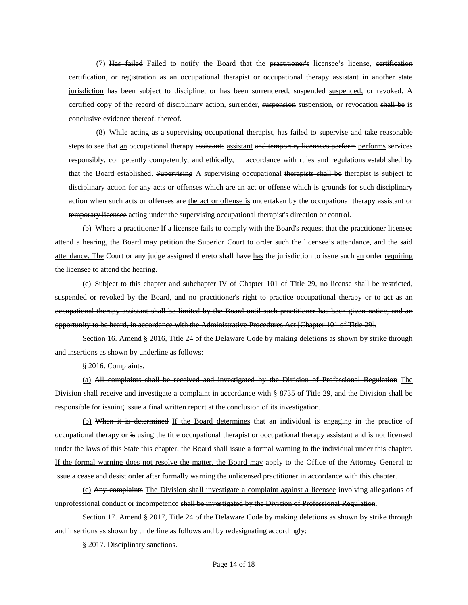(7) Has failed Failed to notify the Board that the practitioner's licensee's license, certification certification, or registration as an occupational therapist or occupational therapy assistant in another state jurisdiction has been subject to discipline, or has been surrendered, suspended suspended, or revoked. A certified copy of the record of disciplinary action, surrender, suspension suspension, or revocation shall be is conclusive evidence thereof; thereof.

(8) While acting as a supervising occupational therapist, has failed to supervise and take reasonable steps to see that an occupational therapy assistants assistant and temporary licensees perform performs services responsibly, competently competently, and ethically, in accordance with rules and regulations established by that the Board established. Supervising A supervising occupational therapists shall be therapist is subject to disciplinary action for any acts or offenses which are an act or offense which is grounds for such disciplinary action when such acts or offenses are the act or offense is undertaken by the occupational therapy assistant or temporary licensee acting under the supervising occupational therapist's direction or control.

(b) Where a practitioner If a licensee fails to comply with the Board's request that the practitioner licensee attend a hearing, the Board may petition the Superior Court to order such the licensee's attendance, and the said attendance. The Court or any judge assigned thereto shall have has the jurisdiction to issue such an order requiring the licensee to attend the hearing.

(c) Subject to this chapter and subchapter IV of Chapter 101 of Title 29, no license shall be restricted, suspended or revoked by the Board, and no practitioner's right to practice occupational therapy or to act as an occupational therapy assistant shall be limited by the Board until such practitioner has been given notice, and an opportunity to be heard, in accordance with the Administrative Procedures Act [Chapter 101 of Title 29].

Section 16. Amend § 2016, Title 24 of the Delaware Code by making deletions as shown by strike through and insertions as shown by underline as follows:

§ 2016. Complaints.

(a) All complaints shall be received and investigated by the Division of Professional Regulation The Division shall receive and investigate a complaint in accordance with § 8735 of Title 29, and the Division shall be responsible for issuing issue a final written report at the conclusion of its investigation.

(b) When it is determined If the Board determines that an individual is engaging in the practice of occupational therapy or is using the title occupational therapist or occupational therapy assistant and is not licensed under the laws of this State this chapter, the Board shall issue a formal warning to the individual under this chapter. If the formal warning does not resolve the matter, the Board may apply to the Office of the Attorney General to issue a cease and desist order after formally warning the unlicensed practitioner in accordance with this chapter.

(c) Any complaints The Division shall investigate a complaint against a licensee involving allegations of unprofessional conduct or incompetence shall be investigated by the Division of Professional Regulation.

Section 17. Amend § 2017, Title 24 of the Delaware Code by making deletions as shown by strike through and insertions as shown by underline as follows and by redesignating accordingly:

§ 2017. Disciplinary sanctions.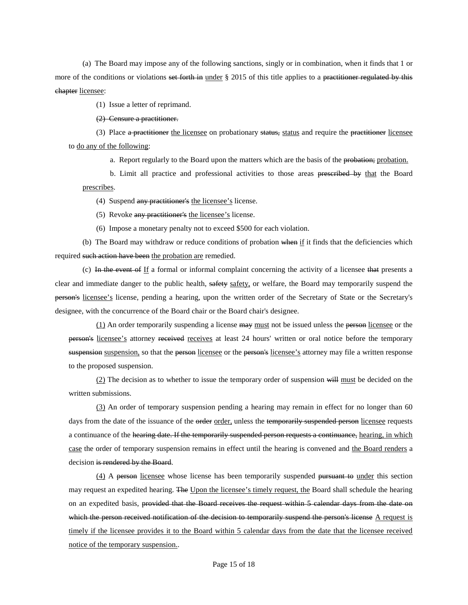(a) The Board may impose any of the following sanctions, singly or in combination, when it finds that 1 or more of the conditions or violations set forth in under § 2015 of this title applies to a practitioner regulated by this chapter licensee:

(1) Issue a letter of reprimand.

(2) Censure a practitioner.

(3) Place a practitioner the licensee on probationary status, status and require the practitioner licensee to do any of the following:

a. Report regularly to the Board upon the matters which are the basis of the probation; probation.

b. Limit all practice and professional activities to those areas prescribed by that the Board prescribes.

(4) Suspend any practitioner's the licensee's license.

(5) Revoke any practitioner's the licensee's license.

(6) Impose a monetary penalty not to exceed \$500 for each violation.

(b) The Board may withdraw or reduce conditions of probation when if it finds that the deficiencies which required such action have been the probation are remedied.

(c) In the event of If a formal or informal complaint concerning the activity of a licensee that presents a clear and immediate danger to the public health, safety safety, or welfare, the Board may temporarily suspend the person's licensee's license, pending a hearing, upon the written order of the Secretary of State or the Secretary's designee, with the concurrence of the Board chair or the Board chair's designee.

(1) An order temporarily suspending a license may must not be issued unless the person licensee or the person's licensee's attorney received receives at least 24 hours' written or oral notice before the temporary suspension suspension, so that the person licensee or the person's licensee's attorney may file a written response to the proposed suspension.

(2) The decision as to whether to issue the temporary order of suspension will must be decided on the written submissions.

(3) An order of temporary suspension pending a hearing may remain in effect for no longer than 60 days from the date of the issuance of the order order, unless the temporarily suspended person licensee requests a continuance of the hearing date. If the temporarily suspended person requests a continuance, hearing, in which case the order of temporary suspension remains in effect until the hearing is convened and the Board renders a decision is rendered by the Board.

(4) A person licensee whose license has been temporarily suspended pursuant to under this section may request an expedited hearing. The Upon the licensee's timely request, the Board shall schedule the hearing on an expedited basis, provided that the Board receives the request within 5 calendar days from the date on which the person received notification of the decision to temporarily suspend the person's license  $A$  request is timely if the licensee provides it to the Board within 5 calendar days from the date that the licensee received notice of the temporary suspension..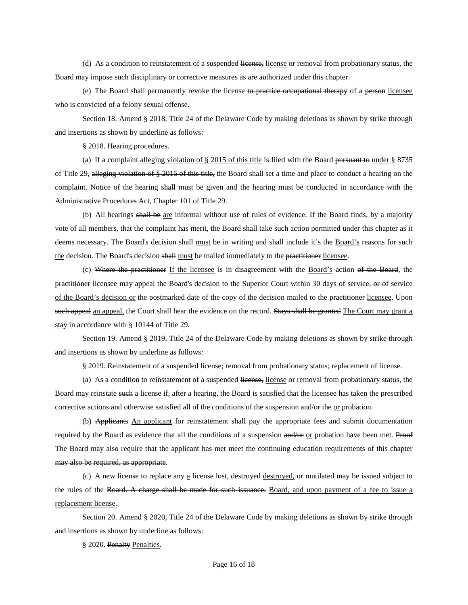(d) As a condition to reinstatement of a suspended license, license or removal from probationary status, the Board may impose such disciplinary or corrective measures as are authorized under this chapter.

(e) The Board shall permanently revoke the license to practice occupational therapy of a person licensee who is convicted of a felony sexual offense.

Section 18. Amend § 2018, Title 24 of the Delaware Code by making deletions as shown by strike through and insertions as shown by underline as follows:

§ 2018. Hearing procedures.

(a) If a complaint <u>alleging violation of  $\S 2015$  of this title</u> is filed with the Board pursuant to under  $\S 8735$ of Title 29, alleging violation of § 2015 of this title, the Board shall set a time and place to conduct a hearing on the complaint. Notice of the hearing shall must be given and the hearing must be conducted in accordance with the Administrative Procedures Act, Chapter 101 of Title 29.

(b) All hearings shall be are informal without use of rules of evidence. If the Board finds, by a majority vote of all members, that the complaint has merit, the Board shall take such action permitted under this chapter as it deems necessary. The Board's decision shall must be in writing and shall include it's the Board's reasons for such the decision. The Board's decision shall must be mailed immediately to the practitioner licensee.

(c) Where the practitioner If the licensee is in disagreement with the Board's action of the Board, the practitioner licensee may appeal the Board's decision to the Superior Court within 30 days of service, or of service of the Board's decision or the postmarked date of the copy of the decision mailed to the practitioner licensee. Upon such appeal an appeal, the Court shall hear the evidence on the record. Stays shall be granted The Court may grant a stay in accordance with § 10144 of Title 29.

Section 19. Amend § 2019, Title 24 of the Delaware Code by making deletions as shown by strike through and insertions as shown by underline as follows:

§ 2019. Reinstatement of a suspended license; removal from probationary status; replacement of license.

(a) As a condition to reinstatement of a suspended license, license or removal from probationary status, the Board may reinstate such a license if, after a hearing, the Board is satisfied that the licensee has taken the prescribed corrective actions and otherwise satisfied all of the conditions of the suspension and/or the or probation.

(b) Applicants An applicant for reinstatement shall pay the appropriate fees and submit documentation required by the Board as evidence that all the conditions of a suspension and/or or probation have been met. Proof The Board may also require that the applicant has met meet the continuing education requirements of this chapter may also be required, as appropriate.

(c) A new license to replace any a license lost, destroyed destroyed, or mutilated may be issued subject to the rules of the Board. A charge shall be made for such issuance. Board, and upon payment of a fee to issue a replacement license.

Section 20. Amend § 2020, Title 24 of the Delaware Code by making deletions as shown by strike through and insertions as shown by underline as follows:

§ 2020. Penalty Penalties.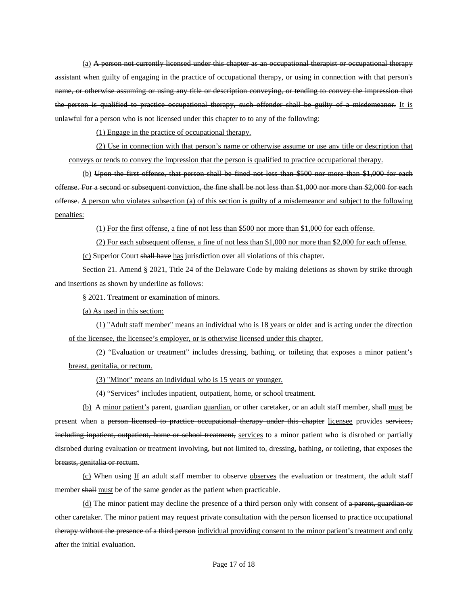(a) A person not currently licensed under this chapter as an occupational therapist or occupational therapy assistant when guilty of engaging in the practice of occupational therapy, or using in connection with that person's name, or otherwise assuming or using any title or description conveying, or tending to convey the impression that the person is qualified to practice occupational therapy, such offender shall be guilty of a misdemeanor. It is unlawful for a person who is not licensed under this chapter to to any of the following:

(1) Engage in the practice of occupational therapy.

(2) Use in connection with that person's name or otherwise assume or use any title or description that conveys or tends to convey the impression that the person is qualified to practice occupational therapy.

(b) Upon the first offense, that person shall be fined not less than \$500 nor more than \$1,000 for each offense. For a second or subsequent conviction, the fine shall be not less than \$1,000 nor more than \$2,000 for each offense. A person who violates subsection (a) of this section is guilty of a misdemeanor and subject to the following penalties:

(1) For the first offense, a fine of not less than \$500 nor more than \$1,000 for each offense.

(2) For each subsequent offense, a fine of not less than \$1,000 nor more than \$2,000 for each offense.

(c) Superior Court shall have has jurisdiction over all violations of this chapter.

Section 21. Amend § 2021, Title 24 of the Delaware Code by making deletions as shown by strike through and insertions as shown by underline as follows:

§ 2021. Treatment or examination of minors.

(a) As used in this section:

(1) "Adult staff member" means an individual who is 18 years or older and is acting under the direction of the licensee, the licensee's employer, or is otherwise licensed under this chapter.

(2) "Evaluation or treatment" includes dressing, bathing, or toileting that exposes a minor patient's breast, genitalia, or rectum.

(3) "Minor" means an individual who is 15 years or younger.

(4) "Services" includes inpatient, outpatient, home, or school treatment.

(b) A minor patient's parent, guardian guardian, or other caretaker, or an adult staff member, shall must be present when a person licensed to practice occupational therapy under this chapter licensee provides services, including inpatient, outpatient, home or school treatment, services to a minor patient who is disrobed or partially disrobed during evaluation or treatment involving, but not limited to, dressing, bathing, or toileting, that exposes the breasts, genitalia or rectum.

(c) When using If an adult staff member to observe observes the evaluation or treatment, the adult staff member shall must be of the same gender as the patient when practicable.

(d) The minor patient may decline the presence of a third person only with consent of a parent, guardian or other caretaker. The minor patient may request private consultation with the person licensed to practice occupational therapy without the presence of a third person individual providing consent to the minor patient's treatment and only after the initial evaluation.